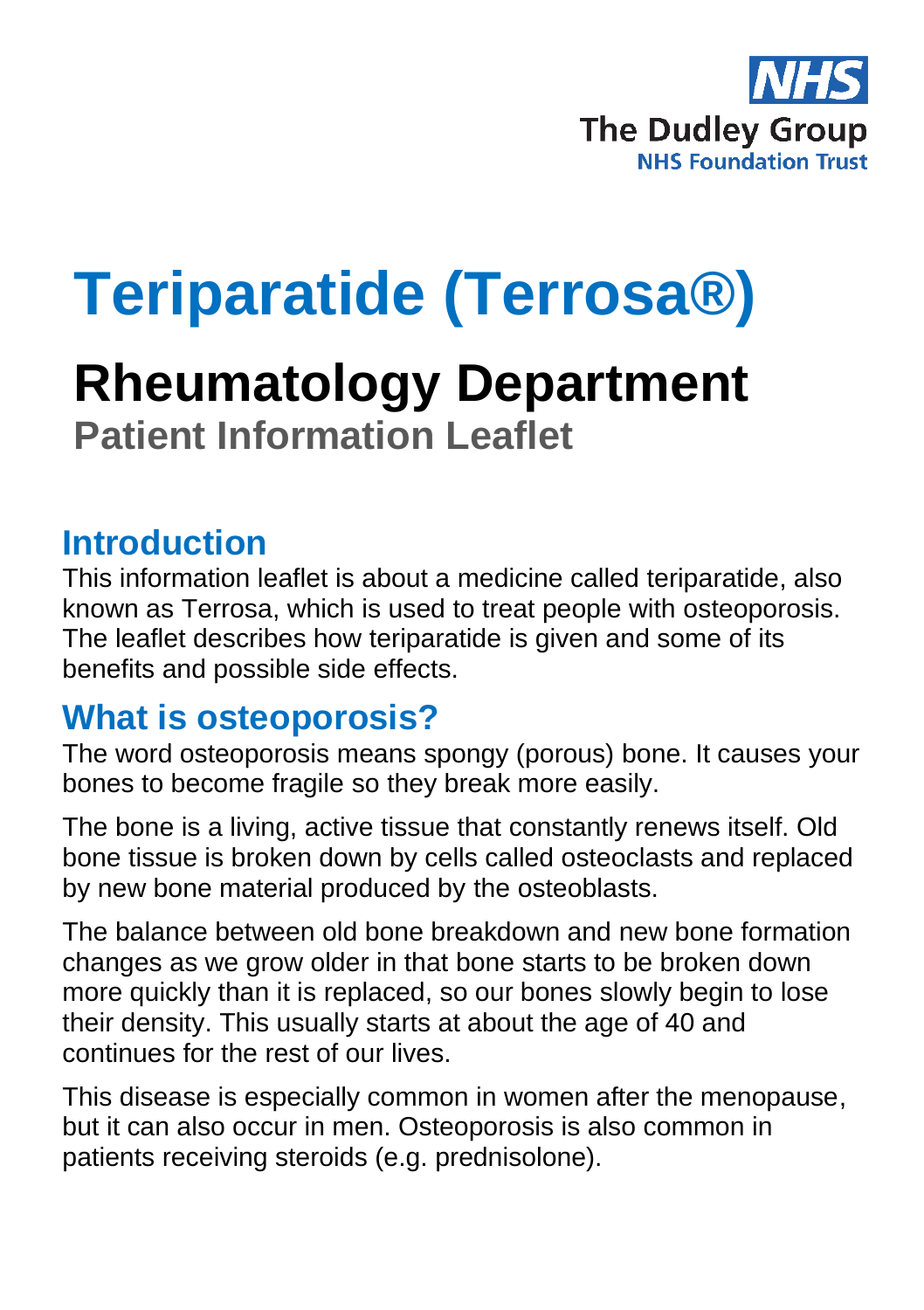

# **Teriparatide (Terrosa®)**

# **Rheumatology Department Patient Information Leaflet**

#### **Introduction**

This information leaflet is about a medicine called teriparatide, also known as Terrosa, which is used to treat people with osteoporosis. The leaflet describes how teriparatide is given and some of its benefits and possible side effects.

#### **What is osteoporosis?**

The word osteoporosis means spongy (porous) bone. It causes your bones to become fragile so they break more easily.

The bone is a living, active tissue that constantly renews itself. Old bone tissue is broken down by cells called osteoclasts and replaced by new bone material produced by the osteoblasts.

The balance between old bone breakdown and new bone formation changes as we grow older in that bone starts to be broken down more quickly than it is replaced, so our bones slowly begin to lose their density. This usually starts at about the age of 40 and continues for the rest of our lives.

This disease is especially common in women after the menopause, but it can also occur in men. Osteoporosis is also common in patients receiving steroids (e.g. prednisolone).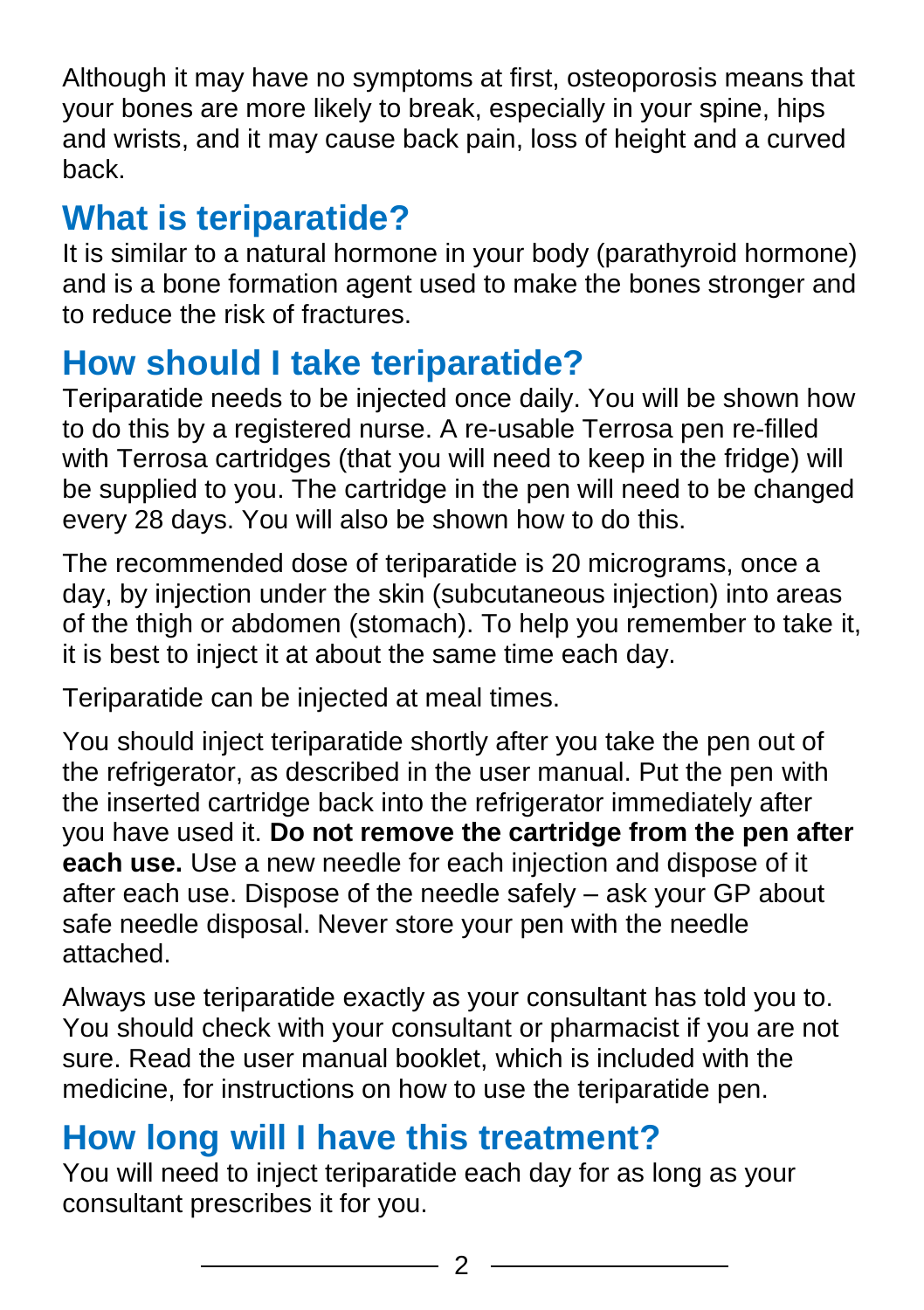Although it may have no symptoms at first, osteoporosis means that your bones are more likely to break, especially in your spine, hips and wrists, and it may cause back pain, loss of height and a curved back.

# **What is teriparatide?**

It is similar to a natural hormone in your body (parathyroid hormone) and is a bone formation agent used to make the bones stronger and to reduce the risk of fractures.

#### **How should I take teriparatide?**

Teriparatide needs to be injected once daily. You will be shown how to do this by a registered nurse. A re-usable Terrosa pen re-filled with Terrosa cartridges (that you will need to keep in the fridge) will be supplied to you. The cartridge in the pen will need to be changed every 28 days. You will also be shown how to do this.

The recommended dose of teriparatide is 20 micrograms, once a day, by injection under the skin (subcutaneous injection) into areas of the thigh or abdomen (stomach). To help you remember to take it, it is best to inject it at about the same time each day.

Teriparatide can be injected at meal times.

You should inject teriparatide shortly after you take the pen out of the refrigerator, as described in the user manual. Put the pen with the inserted cartridge back into the refrigerator immediately after you have used it. **Do not remove the cartridge from the pen after each use.** Use a new needle for each injection and dispose of it after each use. Dispose of the needle safely – ask your GP about safe needle disposal. Never store your pen with the needle attached.

Always use teriparatide exactly as your consultant has told you to. You should check with your consultant or pharmacist if you are not sure. Read the user manual booklet, which is included with the medicine, for instructions on how to use the teriparatide pen.

## **How long will I have this treatment?**

You will need to inject teriparatide each day for as long as your consultant prescribes it for you.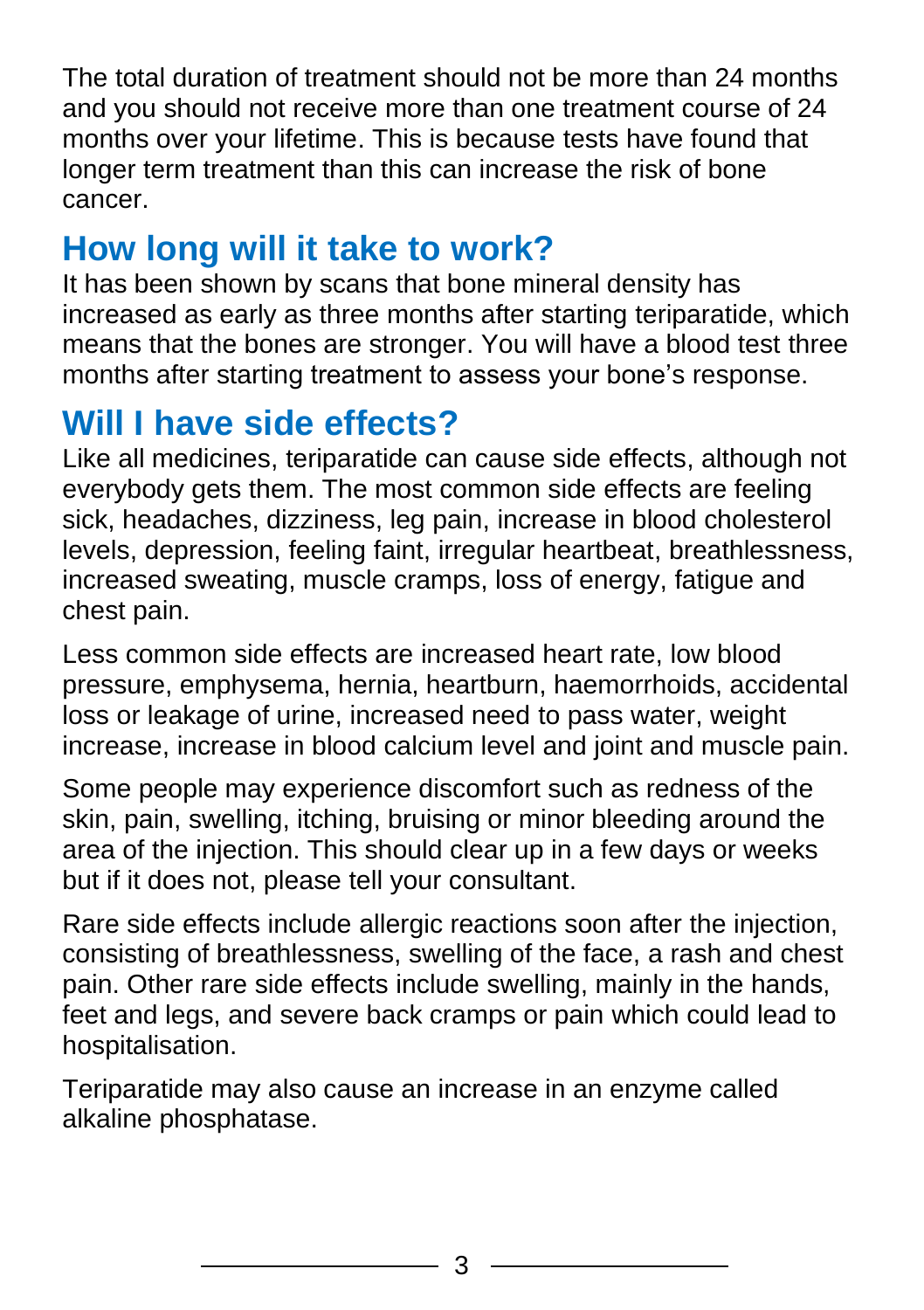The total duration of treatment should not be more than 24 months and you should not receive more than one treatment course of 24 months over your lifetime. This is because tests have found that longer term treatment than this can increase the risk of bone cancer.

### **How long will it take to work?**

It has been shown by scans that bone mineral density has increased as early as three months after starting teriparatide, which means that the bones are stronger. You will have a blood test three months after starting treatment to assess your bone's response.

# **Will I have side effects?**

Like all medicines, teriparatide can cause side effects, although not everybody gets them. The most common side effects are feeling sick, headaches, dizziness, leg pain, increase in blood cholesterol levels, depression, feeling faint, irregular heartbeat, breathlessness, increased sweating, muscle cramps, loss of energy, fatigue and chest pain.

Less common side effects are increased heart rate, low blood pressure, emphysema, hernia, heartburn, haemorrhoids, accidental loss or leakage of urine, increased need to pass water, weight increase, increase in blood calcium level and joint and muscle pain.

Some people may experience discomfort such as redness of the skin, pain, swelling, itching, bruising or minor bleeding around the area of the injection. This should clear up in a few days or weeks but if it does not, please tell your consultant.

Rare side effects include allergic reactions soon after the injection, consisting of breathlessness, swelling of the face, a rash and chest pain. Other rare side effects include swelling, mainly in the hands, feet and legs, and severe back cramps or pain which could lead to hospitalisation.

Teriparatide may also cause an increase in an enzyme called alkaline phosphatase.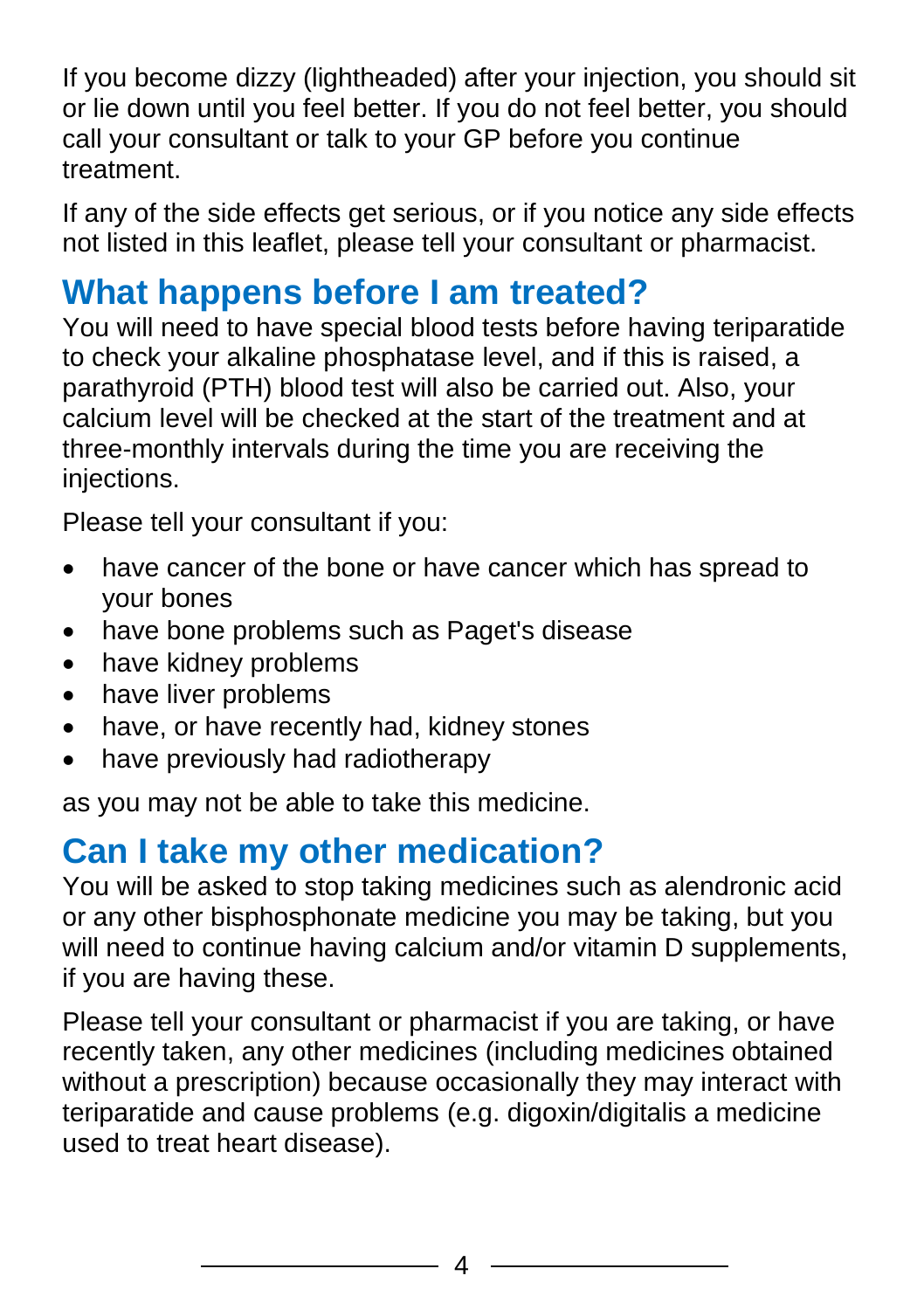If you become dizzy (lightheaded) after your injection, you should sit or lie down until you feel better. If you do not feel better, you should call your consultant or talk to your GP before you continue treatment.

If any of the side effects get serious, or if you notice any side effects not listed in this leaflet, please tell your consultant or pharmacist.

## **What happens before I am treated?**

You will need to have special blood tests before having teriparatide to check your alkaline phosphatase level, and if this is raised, a parathyroid (PTH) blood test will also be carried out. Also, your calcium level will be checked at the start of the treatment and at three-monthly intervals during the time you are receiving the injections.

Please tell your consultant if you:

- have cancer of the bone or have cancer which has spread to your bones
- have bone problems such as Paget's disease
- have kidney problems
- have liver problems
- have, or have recently had, kidney stones
- have previously had radiotherapy

as you may not be able to take this medicine.

## **Can I take my other medication?**

You will be asked to stop taking medicines such as alendronic acid or any other bisphosphonate medicine you may be taking, but you will need to continue having calcium and/or vitamin D supplements, if you are having these.

Please tell your consultant or pharmacist if you are taking, or have recently taken, any other medicines (including medicines obtained without a prescription) because occasionally they may interact with teriparatide and cause problems (e.g. digoxin/digitalis a medicine used to treat heart disease).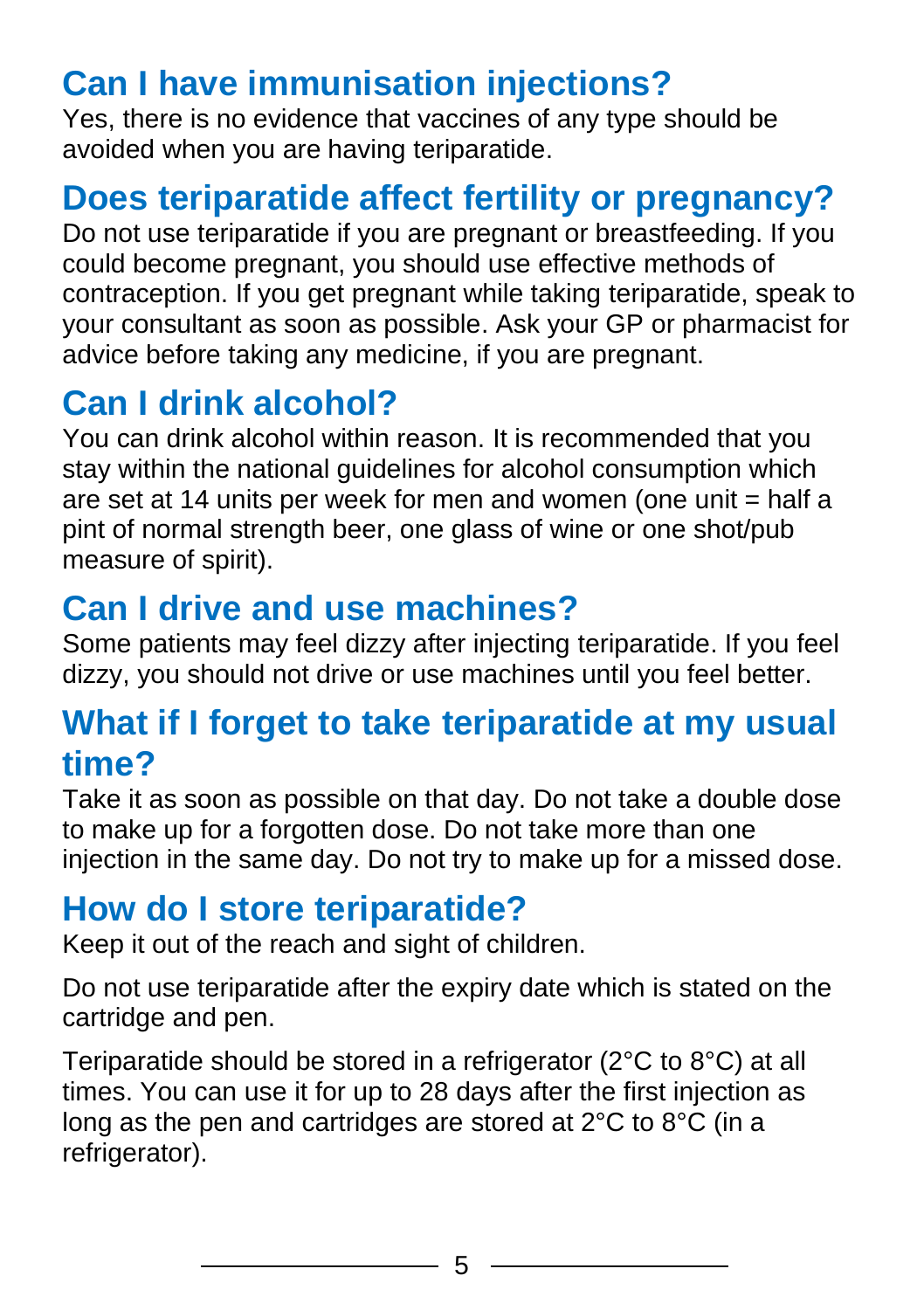# **Can I have immunisation injections?**

Yes, there is no evidence that vaccines of any type should be avoided when you are having teriparatide.

# **Does teriparatide affect fertility or pregnancy?**

Do not use teriparatide if you are pregnant or breastfeeding. If you could become pregnant, you should use effective methods of contraception. If you get pregnant while taking teriparatide, speak to your consultant as soon as possible. Ask your GP or pharmacist for advice before taking any medicine, if you are pregnant.

# **Can I drink alcohol?**

You can drink alcohol within reason. It is recommended that you stay within the national guidelines for alcohol consumption which are set at 14 units per week for men and women (one unit = half a pint of normal strength beer, one glass of wine or one shot/pub measure of spirit).

## **Can I drive and use machines?**

Some patients may feel dizzy after injecting teriparatide. If you feel dizzy, you should not drive or use machines until you feel better.

#### **What if I forget to take teriparatide at my usual time?**

Take it as soon as possible on that day. Do not take a double dose to make up for a forgotten dose. Do not take more than one injection in the same day. Do not try to make up for a missed dose.

#### **How do I store teriparatide?**

Keep it out of the reach and sight of children.

Do not use teriparatide after the expiry date which is stated on the cartridge and pen.

Teriparatide should be stored in a refrigerator (2°C to 8°C) at all times. You can use it for up to 28 days after the first injection as long as the pen and cartridges are stored at 2°C to 8°C (in a refrigerator).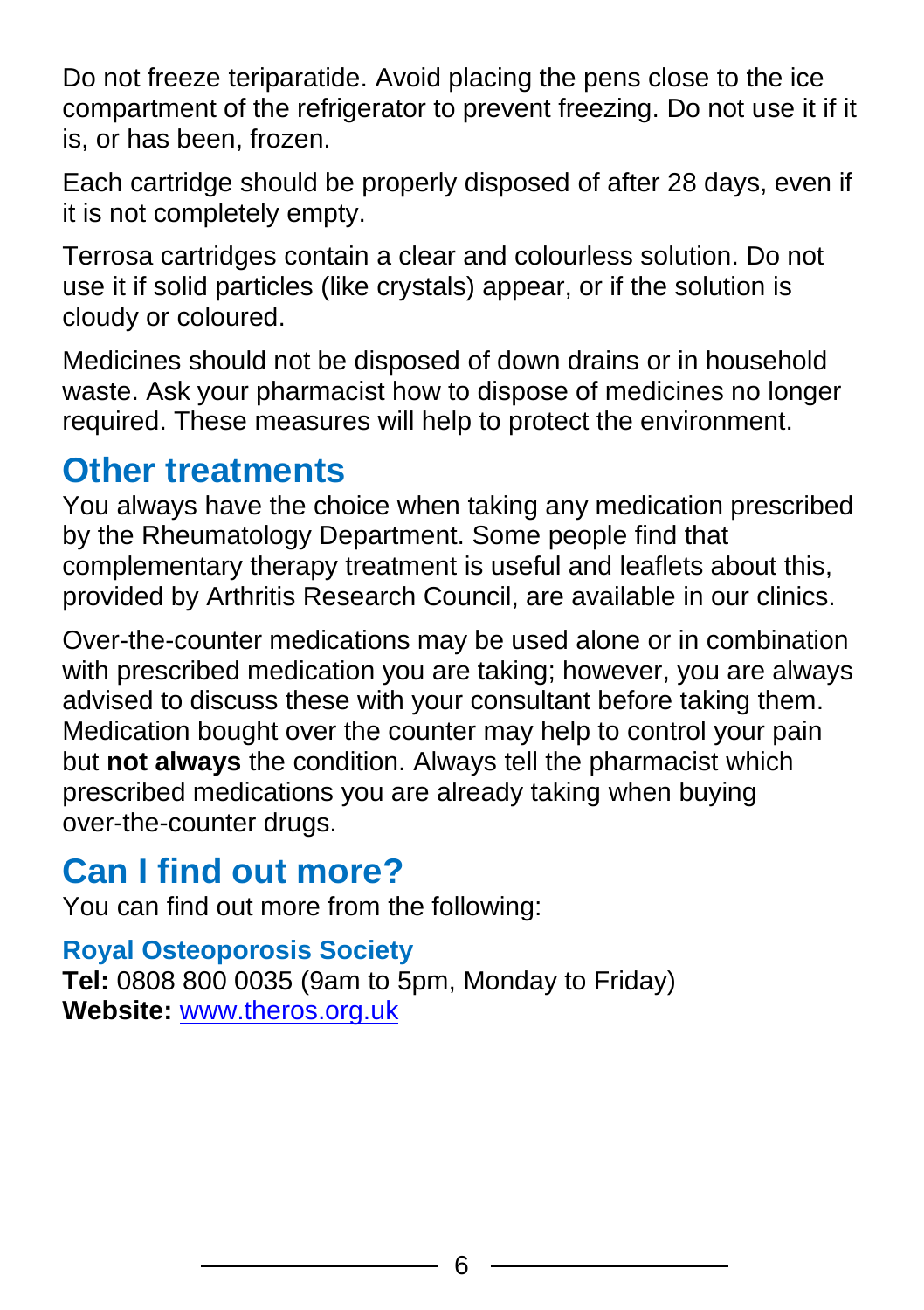Do not freeze teriparatide. Avoid placing the pens close to the ice compartment of the refrigerator to prevent freezing. Do not use it if it is, or has been, frozen.

Each cartridge should be properly disposed of after 28 days, even if it is not completely empty.

Terrosa cartridges contain a clear and colourless solution. Do not use it if solid particles (like crystals) appear, or if the solution is cloudy or coloured.

Medicines should not be disposed of down drains or in household waste. Ask your pharmacist how to dispose of medicines no longer required. These measures will help to protect the environment.

#### **Other treatments**

You always have the choice when taking any medication prescribed by the Rheumatology Department. Some people find that complementary therapy treatment is useful and leaflets about this, provided by Arthritis Research Council, are available in our clinics.

Over-the-counter medications may be used alone or in combination with prescribed medication you are taking; however, you are always advised to discuss these with your consultant before taking them. Medication bought over the counter may help to control your pain but **not always** the condition. Always tell the pharmacist which prescribed medications you are already taking when buying over-the-counter drugs.

## **Can I find out more?**

You can find out more from the following:

#### **Royal Osteoporosis Society**

**Tel:** 0808 800 0035 (9am to 5pm, Monday to Friday) **Website:** [www.theros.org.uk](http://www.theros.org.uk/)